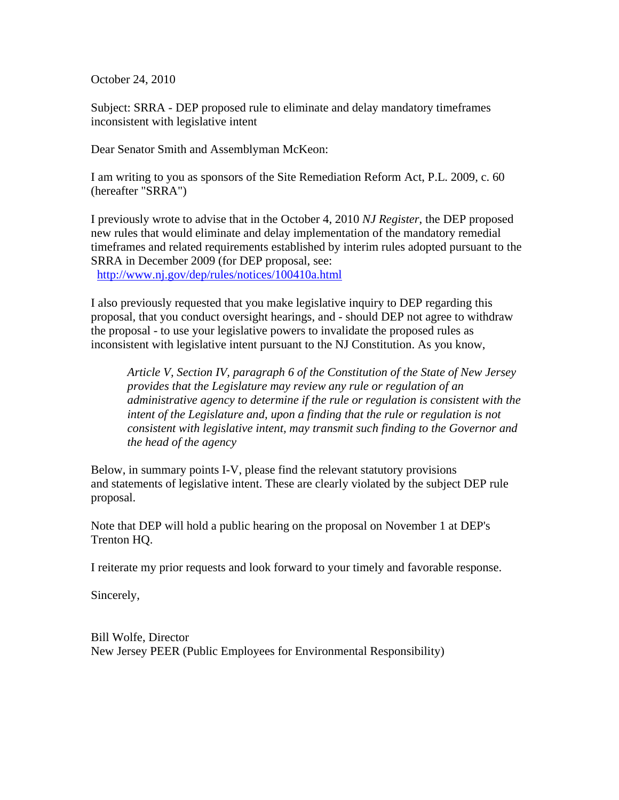October 24, 2010

Subject: SRRA - DEP proposed rule to eliminate and delay mandatory timeframes inconsistent with legislative intent

Dear Senator Smith and Assemblyman McKeon:

I am writing to you as sponsors of the Site Remediation Reform Act, P.L. 2009, c. 60 (hereafter "SRRA")

I previously wrote to advise that in the October 4, 2010 *NJ Register*, the DEP proposed new rules that would eliminate and delay implementation of the mandatory remedial timeframes and related requirements established by interim rules adopted pursuant to the SRRA in December 2009 (for DEP proposal, see: http://www.nj.gov/dep/rules/notices/100410a.html

I also previously requested that you make legislative inquiry to DEP regarding this proposal, that you conduct oversight hearings, and - should DEP not agree to withdraw the proposal - to use your legislative powers to invalidate the proposed rules as inconsistent with legislative intent pursuant to the NJ Constitution. As you know,

*Article V, Section IV, paragraph 6 of the Constitution of the State of New Jersey provides that the Legislature may review any rule or regulation of an administrative agency to determine if the rule or regulation is consistent with the intent of the Legislature and, upon a finding that the rule or regulation is not consistent with legislative intent, may transmit such finding to the Governor and the head of the agency*

Below, in summary points I-V, please find the relevant statutory provisions and statements of legislative intent. These are clearly violated by the subject DEP rule proposal.

Note that DEP will hold a public hearing on the proposal on November 1 at DEP's Trenton HQ.

I reiterate my prior requests and look forward to your timely and favorable response.

Sincerely,

Bill Wolfe, Director New Jersey PEER (Public Employees for Environmental Responsibility)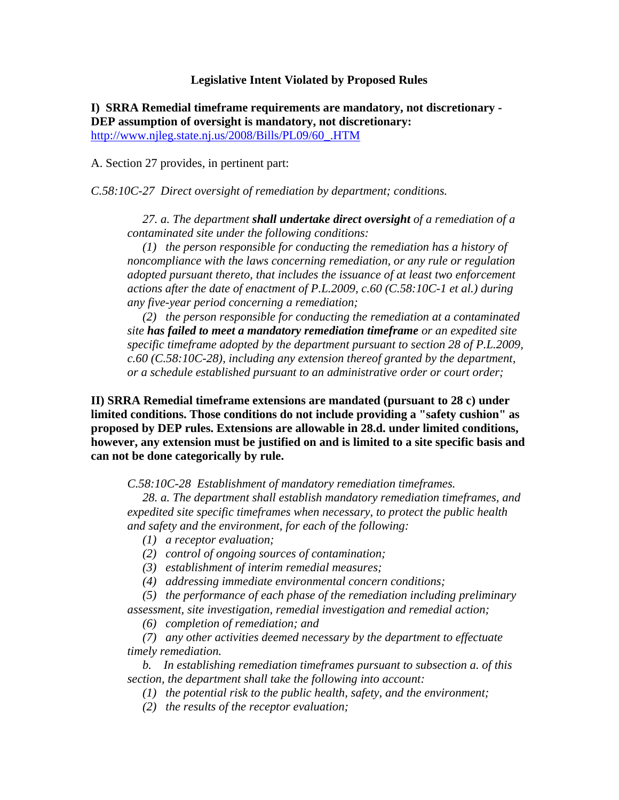## **Legislative Intent Violated by Proposed Rules**

**I) SRRA Remedial timeframe requirements are mandatory, not discretionary - DEP assumption of oversight is mandatory, not discretionary:** http://www.njleg.state.nj.us/2008/Bills/PL09/60\_.HTM

A. Section 27 provides, in pertinent part:

*C.58:10C-27 Direct oversight of remediation by department; conditions.*

 *27. a. The department shall undertake direct oversight of a remediation of a contaminated site under the following conditions:*

 *(1) the person responsible for conducting the remediation has a history of noncompliance with the laws concerning remediation, or any rule or regulation adopted pursuant thereto, that includes the issuance of at least two enforcement actions after the date of enactment of P.L.2009, c.60 (C.58:10C-1 et al.) during any five-year period concerning a remediation;*

 *(2) the person responsible for conducting the remediation at a contaminated site has failed to meet a mandatory remediation timeframe or an expedited site specific timeframe adopted by the department pursuant to section 28 of P.L.2009, c.60 (C.58:10C-28), including any extension thereof granted by the department, or a schedule established pursuant to an administrative order or court order;* 

**II) SRRA Remedial timeframe extensions are mandated (pursuant to 28 c) under limited conditions. Those conditions do not include providing a "safety cushion" as proposed by DEP rules. Extensions are allowable in 28.d. under limited conditions, however, any extension must be justified on and is limited to a site specific basis and can not be done categorically by rule.**

*C.58:10C-28 Establishment of mandatory remediation timeframes.*

 *28. a. The department shall establish mandatory remediation timeframes, and expedited site specific timeframes when necessary, to protect the public health and safety and the environment, for each of the following:*

 *(1) a receptor evaluation;*

 *(2) control of ongoing sources of contamination;*

 *(3) establishment of interim remedial measures;*

 *(4) addressing immediate environmental concern conditions;*

 *(5) the performance of each phase of the remediation including preliminary assessment, site investigation, remedial investigation and remedial action;*

 *(6) completion of remediation; and*

 *(7) any other activities deemed necessary by the department to effectuate timely remediation.*

 *b. In establishing remediation timeframes pursuant to subsection a. of this section, the department shall take the following into account:*

 *(1) the potential risk to the public health, safety, and the environment;* 

 *(2) the results of the receptor evaluation;*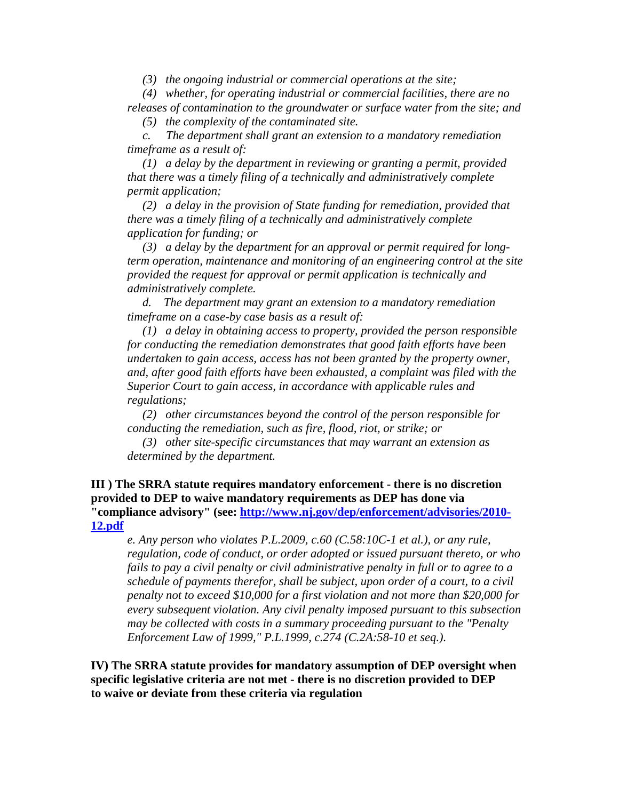*(3) the ongoing industrial or commercial operations at the site;*

 *(4) whether, for operating industrial or commercial facilities, there are no releases of contamination to the groundwater or surface water from the site; and*

 *(5) the complexity of the contaminated site.*

 *c. The department shall grant an extension to a mandatory remediation timeframe as a result of:*

 *(1) a delay by the department in reviewing or granting a permit, provided that there was a timely filing of a technically and administratively complete permit application;*

 *(2) a delay in the provision of State funding for remediation, provided that there was a timely filing of a technically and administratively complete application for funding; or* 

 *(3) a delay by the department for an approval or permit required for longterm operation, maintenance and monitoring of an engineering control at the site provided the request for approval or permit application is technically and administratively complete.*

 *d. The department may grant an extension to a mandatory remediation timeframe on a case-by case basis as a result of:* 

 *(1) a delay in obtaining access to property, provided the person responsible for conducting the remediation demonstrates that good faith efforts have been undertaken to gain access, access has not been granted by the property owner, and, after good faith efforts have been exhausted, a complaint was filed with the Superior Court to gain access, in accordance with applicable rules and regulations;*

 *(2) other circumstances beyond the control of the person responsible for conducting the remediation, such as fire, flood, riot, or strike; or*

 *(3) other site-specific circumstances that may warrant an extension as determined by the department.*

**III ) The SRRA statute requires mandatory enforcement - there is no discretion provided to DEP to waive mandatory requirements as DEP has done via "compliance advisory" (see: http://www.nj.gov/dep/enforcement/advisories/2010- 12.pdf**

*e. Any person who violates P.L.2009, c.60 (C.58:10C-1 et al.), or any rule, regulation, code of conduct, or order adopted or issued pursuant thereto, or who fails to pay a civil penalty or civil administrative penalty in full or to agree to a schedule of payments therefor, shall be subject, upon order of a court, to a civil penalty not to exceed \$10,000 for a first violation and not more than \$20,000 for every subsequent violation. Any civil penalty imposed pursuant to this subsection may be collected with costs in a summary proceeding pursuant to the "Penalty Enforcement Law of 1999," P.L.1999, c.274 (C.2A:58-10 et seq.).*

**IV) The SRRA statute provides for mandatory assumption of DEP oversight when specific legislative criteria are not met - there is no discretion provided to DEP to waive or deviate from these criteria via regulation**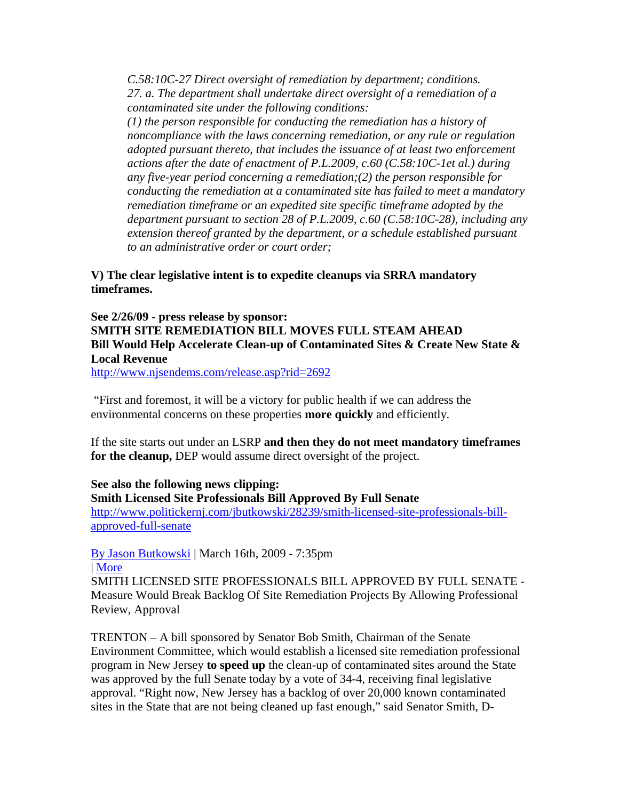*C.58:10C-27 Direct oversight of remediation by department; conditions. 27. a. The department shall undertake direct oversight of a remediation of a contaminated site under the following conditions:*

*(1) the person responsible for conducting the remediation has a history of noncompliance with the laws concerning remediation, or any rule or regulation adopted pursuant thereto, that includes the issuance of at least two enforcement actions after the date of enactment of P.L.2009, c.60 (C.58:10C-1et al.) during any five-year period concerning a remediation;(2) the person responsible for conducting the remediation at a contaminated site has failed to meet a mandatory remediation timeframe or an expedited site specific timeframe adopted by the department pursuant to section 28 of P.L.2009, c.60 (C.58:10C-28), including any extension thereof granted by the department, or a schedule established pursuant to an administrative order or court order;*

## **V) The clear legislative intent is to expedite cleanups via SRRA mandatory timeframes.**

## **See 2/26/09 - press release by sponsor: SMITH SITE REMEDIATION BILL MOVES FULL STEAM AHEAD Bill Would Help Accelerate Clean-up of Contaminated Sites & Create New State & Local Revenue**

http://www.njsendems.com/release.asp?rid=2692

"First and foremost, it will be a victory for public health if we can address the environmental concerns on these properties **more quickly** and efficiently.

If the site starts out under an LSRP **and then they do not meet mandatory timeframes for the cleanup,** DEP would assume direct oversight of the project.

## **See also the following news clipping:**

**Smith Licensed Site Professionals Bill Approved By Full Senate** http://www.politickernj.com/jbutkowski/28239/smith-licensed-site-professionals-billapproved-full-senate

By Jason Butkowski | March 16th, 2009 - 7:35pm | More

SMITH LICENSED SITE PROFESSIONALS BILL APPROVED BY FULL SENATE - Measure Would Break Backlog Of Site Remediation Projects By Allowing Professional Review, Approval

TRENTON – A bill sponsored by Senator Bob Smith, Chairman of the Senate Environment Committee, which would establish a licensed site remediation professional program in New Jersey **to speed up** the clean-up of contaminated sites around the State was approved by the full Senate today by a vote of 34-4, receiving final legislative approval. "Right now, New Jersey has a backlog of over 20,000 known contaminated sites in the State that are not being cleaned up fast enough," said Senator Smith, D-